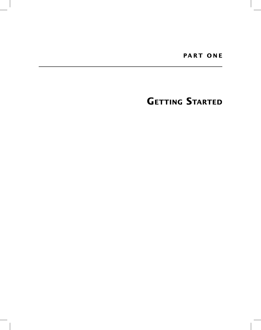**PART ONE**

# **GETTING STARTED**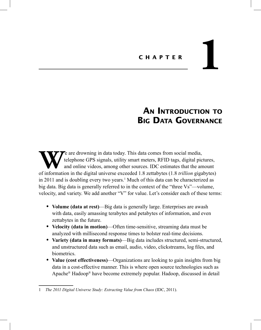# **CHAPTER 1**

# **AN INTRODUCTION TO BIG DATA GOVERNANCE**

**W** e are drowning in data today. This data comes from social media, telephone GPS signals, utility smart meters, RFID tags, digital pic and online videos, among other sources. IDC estimates that the anof information in th telephone GPS signals, utility smart meters, RFID tags, digital pictures, and online videos, among other sources. IDC estimates that the amount of information in the digital universe exceeded 1.8 zettabytes (1.8 *trillion* gigabytes) in 2011 and is doubling every two years.<sup>1</sup> Much of this data can be characterized as big data. Big data is generally referred to in the context of the "three Vs"—volume, velocity, and variety. We add another "V" for value. Let's consider each of these terms:

- **Volume (data at rest)**—Big data is generally large. Enterprises are awash with data, easily amassing terabytes and petabytes of information, and even zettabytes in the future.
- **Velocity (data in motion)**—Often time-sensitive, streaming data must be analyzed with millisecond response times to bolster real-time decisions.
- **Variety (data in many formats)**—Big data includes structured, semi-structured, and unstructured data such as email, audio, video, clickstreams, log files, and biometrics.
- **Value (cost effectiveness)**—Organizations are looking to gain insights from big data in a cost-effective manner. This is where open source technologies such as Apache® Hadoop® have become extremely popular. Hadoop, discussed in detail

<sup>1</sup> *The 2011 Digital Universe Study: Extracting Value from Chaos* (IDC, 2011).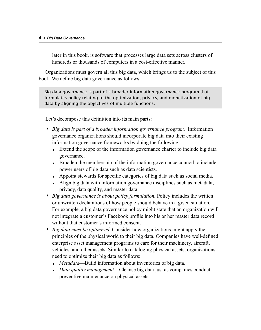later in this book, is software that processes large data sets across clusters of hundreds or thousands of computers in a cost-effective manner.

Organizations must govern all this big data, which brings us to the subject of this book. We define big data governance as follows:

Big data governance is part of a broader information governance program that formulates policy relating to the optimization, privacy, and monetization of big data by aligning the objectives of multiple functions.

Let's decompose this definition into its main parts:

- *Big data is part of a broader information governance program.* Information governance organizations should incorporate big data into their existing information governance frameworks by doing the following:
	- Extend the scope of the information governance charter to include big data governance.
	- Broaden the membership of the information governance council to include power users of big data such as data scientists.
	- Appoint stewards for specific categories of big data such as social media.
	- Align big data with information governance disciplines such as metadata, privacy, data quality, and master data
- *Big data governance is about policy formulation.* Policy includes the written or unwritten declarations of how people should behave in a given situation. For example, a big data governance policy might state that an organization will not integrate a customer's Facebook profile into his or her master data record without that customer's informed consent.
- *Big data must be optimized.* Consider how organizations might apply the principles of the physical world to their big data. Companies have well-defined enterprise asset management programs to care for their machinery, aircraft, vehicles, and other assets. Similar to cataloging physical assets, organizations need to optimize their big data as follows:
	- *Metadata*—Build information about inventories of big data.
	- *Data quality management*—Cleanse big data just as companies conduct preventive maintenance on physical assets.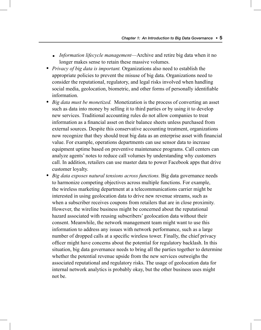- *Information lifecycle management*—Archive and retire big data when it no longer makes sense to retain these massive volumes.
- *Privacy of big data is important.* Organizations also need to establish the appropriate policies to prevent the misuse of big data. Organizations need to consider the reputational, regulatory, and legal risks involved when handling social media, geolocation, biometric, and other forms of personally identifiable information.
- *Big data must be monetized.* Monetization is the process of converting an asset such as data into money by selling it to third parties or by using it to develop new services. Traditional accounting rules do not allow companies to treat information as a financial asset on their balance sheets unless purchased from external sources. Despite this conservative accounting treatment, organizations now recognize that they should treat big data as an enterprise asset with financial value. For example, operations departments can use sensor data to increase equipment uptime based on preventive maintenance programs. Call centers can analyze agents' notes to reduce call volumes by understanding why customers call. In addition, retailers can use master data to power Facebook apps that drive customer loyalty.
- *Big data exposes natural tensions across functions.* Big data governance needs to harmonize competing objectives across multiple functions. For example, the wireless marketing department at a telecommunications carrier might be interested in using geolocation data to drive new revenue streams, such as when a subscriber receives coupons from retailers that are in close proximity. However, the wireline business might be concerned about the reputational hazard associated with reusing subscribers' geolocation data without their consent. Meanwhile, the network management team might want to use this information to address any issues with network performance, such as a large number of dropped calls at a specific wireless tower. Finally, the chief privacy officer might have concerns about the potential for regulatory backlash. In this situation, big data governance needs to bring all the parties together to determine whether the potential revenue upside from the new services outweighs the associated reputational and regulatory risks. The usage of geolocation data for internal network analytics is probably okay, but the other business uses might not be.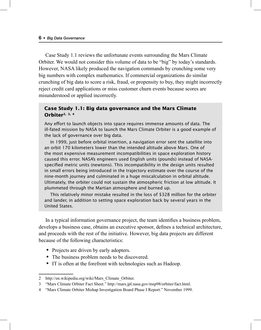Case Study 1.1 reviews the unfortunate events surrounding the Mars Climate Orbiter. We would not consider this volume of data to be "big" by today's standards. However, NASA likely produced the navigation commands by crunching some very big numbers with complex mathematics. If commercial organizations do similar crunching of big data to score a risk, fraud, or propensity to buy, they might incorrectly reject credit card applications or miss customer churn events because scores are misunderstood or applied incorrectly.

### **Case Study 1.1: Big data governance and the Mars Climate Orbiter2, 3, <sup>4</sup>**

Any effort to launch objects into space requires immense amounts of data. The ill-fated mission by NASA to launch the Mars Climate Orbiter is a good example of the lack of governance over big data.

In 1999, just before orbital insertion, a navigation error sent the satellite into an orbit 170 kilometers lower than the intended altitude above Mars. One of the most expensive measurement incompatibilities in space exploration history caused this error. NASA's engineers used English units (pounds) instead of NASAspecified metric units (newtons). This incompatibility in the design units resulted in small errors being introduced in the trajectory estimate over the course of the nine-month journey and culminated in a huge miscalculation in orbital altitude. Ultimately, the orbiter could not sustain the atmospheric friction at low altitude. It plummeted through the Martian atmosphere and burned up.

This relatively minor mistake resulted in the loss of \$328 million for the orbiter and lander, in addition to setting space exploration back by several years in the United States.

In a typical information governance project, the team identifies a business problem, develops a business case, obtains an executive sponsor, defines a technical architecture, and proceeds with the rest of the initiative. However, big data projects are different because of the following characteristics:

- Projects are driven by early adopters.
- The business problem needs to be discovered.
- IT is often at the forefront with technologies such as Hadoop.

<sup>2</sup> http://en.wikipedia.org/wiki/Mars\_Climate\_Orbiter.

<sup>3 &</sup>quot;Mars Climate Orbiter Fact Sheet." http://mars.jpl.nasa.gov/msp98/orbiter/fact.html.

<sup>4 &</sup>quot;Mars Climate Orbiter Mishap Investigation Board Phase I Report." November 1999.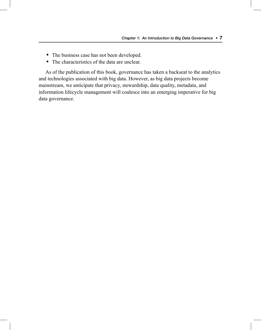- The business case has not been developed.
- The characteristics of the data are unclear.

As of the publication of this book, governance has taken a backseat to the analytics and technologies associated with big data. However, as big data projects become mainstream, we anticipate that privacy, stewardship, data quality, metadata, and information lifecycle management will coalesce into an emerging imperative for big data governance.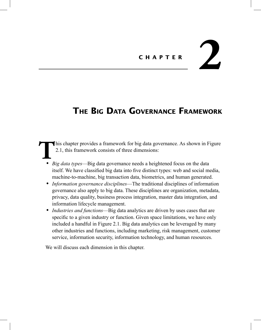## **THE BIG DATA GOVERNANCE FRAMEWORK**

This chapter provides a framework for big data governance. As shown in Figure 2.1, this framework consists of three dimensions:

- *Big data types*—Big data governance needs a heightened focus on the data itself. We have classified big data into five distinct types: web and social media, machine-to-machine, big transaction data, biometrics, and human generated.
- *Information governance disciplines*—The traditional disciplines of information governance also apply to big data. These disciplines are organization, metadata, privacy, data quality, business process integration, master data integration, and information lifecycle management.
- *Industries and functions*—Big data analytics are driven by uses cases that are specific to a given industry or function. Given space limitations, we have only included a handful in Figure 2.1. Big data analytics can be leveraged by many other industries and functions, including marketing, risk management, customer service, information security, information technology, and human resources.

We will discuss each dimension in this chapter.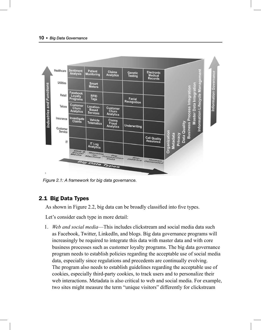

Figure 2.1: A framework for big data governance.

### **2.1 Big Data Types**

As shown in Figure 2.2, big data can be broadly classified into five types.

Let's consider each type in more detail:

1. *Web and social media*—This includes clickstream and social media data such as Facebook, Twitter, LinkedIn, and blogs. Big data governance programs will increasingly be required to integrate this data with master data and with core business processes such as customer loyalty programs. The big data governance program needs to establish policies regarding the acceptable use of social media data, especially since regulations and precedents are continually evolving. The program also needs to establish guidelines regarding the acceptable use of cookies, especially third-party cookies, to track users and to personalize their web interactions. Metadata is also critical to web and social media. For example, two sites might measure the term "unique visitors" differently for clickstream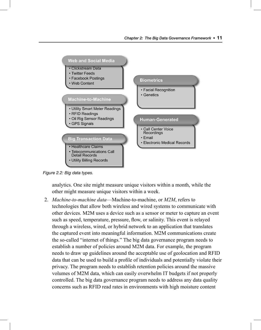

Figure 2.2: Big data types.

analytics. One site might measure unique visitors within a month, while the other might measure unique visitors within a week.

2. *Machine-to-machine data*—Machine-to-machine, or *M2M*, refers to technologies that allow both wireless and wired systems to communicate with other devices. M2M uses a device such as a sensor or meter to capture an event such as speed, temperature, pressure, flow, or salinity. This event is relayed through a wireless, wired, or hybrid network to an application that translates the captured event into meaningful information. M2M communications create the so-called "internet of things." The big data governance program needs to establish a number of policies around M2M data. For example, the program needs to draw up guidelines around the acceptable use of geolocation and RFID data that can be used to build a profile of individuals and potentially violate their privacy. The program needs to establish retention policies around the massive volumes of M2M data, which can easily overwhelm IT budgets if not properly controlled. The big data governance program needs to address any data quality concerns such as RFID read rates in environments with high moisture content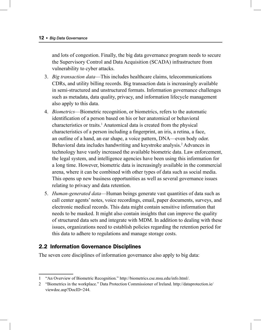and lots of congestion. Finally, the big data governance program needs to secure the Supervisory Control and Data Acquisition (SCADA) infrastructure from vulnerability to cyber attacks.

- 3. *Big transaction data*—This includes healthcare claims, telecommunications CDRs, and utility billing records. Big transaction data is increasingly available in semi-structured and unstructured formats. Information governance challenges such as metadata, data quality, privacy, and information lifecycle management also apply to this data.
- 4. *Biometrics*—Biometric recognition, or biometrics, refers to the automatic identification of a person based on his or her anatomical or behavioral characteristics or traits.<sup>1</sup> Anatomical data is created from the physical characteristics of a person including a fingerprint, an iris, a retina, a face, an outline of a hand, an ear shape, a voice pattern, DNA—even body odor. Behavioral data includes handwriting and keystroke analysis.<sup>2</sup> Advances in technology have vastly increased the available biometric data. Law enforcement, the legal system, and intelligence agencies have been using this information for a long time. However, biometric data is increasingly available in the commercial arena, where it can be combined with other types of data such as social media. This opens up new business opportunities as well as several governance issues relating to privacy and data retention.
- 5. *Human-generated data*—Human beings generate vast quantities of data such as call center agents' notes, voice recordings, email, paper documents, surveys, and electronic medical records. This data might contain sensitive information that needs to be masked. It might also contain insights that can improve the quality of structured data sets and integrate with MDM. In addition to dealing with these issues, organizations need to establish policies regarding the retention period for this data to adhere to regulations and manage storage costs.

### **2.2 Information Governance Disciplines**

The seven core disciplines of information governance also apply to big data:

<sup>1 &</sup>quot;An Overview of Biometric Recognition." http://biometrics.cse.msu.edu/info.html/.

<sup>2 &</sup>quot;Biometrics in the workplace." Data Protection Commissioner of Ireland. http://dataprotection.ie/ viewdoc.asp?DocID=244.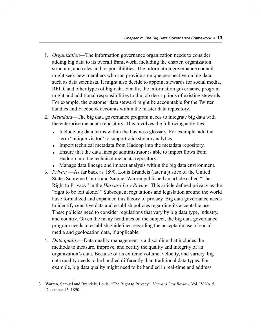- 1. *Organization*—The information governance organization needs to consider adding big data to its overall framework, including the charter, organization structure, and roles and responsibilities. The information governance council might seek new members who can provide a unique perspective on big data, such as data scientists. It might also decide to appoint stewards for social media, RFID, and other types of big data. Finally, the information governance program might add additional responsibilities to the job descriptions of existing stewards. For example, the customer data steward might be accountable for the Twitter handles and Facebook accounts within the master data repository.
- 2. *Metadata*—The big data governance program needs to integrate big data with the enterprise metadata repository. This involves the following activities:
	- Include big data terms within the business glossary. For example, add the term "unique visitor" to support clickstream analytics.
	- Import technical metadata from Hadoop into the metadata repository.
	- Ensure that the data lineage administrator is able to import flows from Hadoop into the technical metadata repository.
	- Manage data lineage and impact analysis within the big data environment.
- 3. *Privacy*—As far back as 1890, Louis Brandeis (later a justice of the United States Supreme Court) and Samuel Warren published an article called "The Right to Privacy" in the *Harvard Law Review*. This article defined privacy as the "right to be left alone."<sup>3</sup> Subsequent regulations and legislation around the world have formalized and expanded this theory of privacy. Big data governance needs to identify sensitive data and establish policies regarding its acceptable use. These policies need to consider regulations that vary by big data type, industry, and country. Given the many headlines on the subject, the big data governance program needs to establish guidelines regarding the acceptable use of social media and geolocation data, if applicable.
- 4. *Data quality*—Data quality management is a discipline that includes the methods to measure, improve, and certify the quality and integrity of an organization's data. Because of its extreme volume, velocity, and variety, big data quality needs to be handled differently than traditional data types. For example, big data quality might need to be handled in real-time and address

<sup>3</sup> Warren, Samuel and Brandeis, Louis. "The Right to Privacy." *Harvard Law Review*, Vol. IV No. 5, December 15, 1890.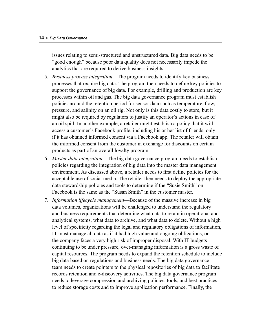issues relating to semi-structured and unstructured data. Big data needs to be "good enough" because poor data quality does not necessarily impede the analytics that are required to derive business insights.

- 5. *Business process integration*—The program needs to identify key business processes that require big data. The program then needs to define key policies to support the governance of big data. For example, drilling and production are key processes within oil and gas. The big data governance program must establish policies around the retention period for sensor data such as temperature, flow, pressure, and salinity on an oil rig. Not only is this data costly to store, but it might also be required by regulators to justify an operator's actions in case of an oil spill. In another example, a retailer might establish a policy that it will access a customer's Facebook profile, including his or her list of friends, only if it has obtained informed consent via a Facebook app. The retailer will obtain the informed consent from the customer in exchange for discounts on certain products as part of an overall loyalty program.
- 6. *Master data integration*—The big data governance program needs to establish policies regarding the integration of big data into the master data management environment. As discussed above, a retailer needs to first define policies for the acceptable use of social media. The retailer then needs to deploy the appropriate data stewardship policies and tools to determine if the "Susie Smith" on Facebook is the same as the "Susan Smith" in the customer master.
- 7. *Information lifecycle management*—Because of the massive increase in big data volumes, organizations will be challenged to understand the regulatory and business requirements that determine what data to retain in operational and analytical systems, what data to archive, and what data to delete. Without a high level of specificity regarding the legal and regulatory obligations of information, IT must manage all data as if it had high value and ongoing obligations, or the company faces a very high risk of improper disposal. With IT budgets continuing to be under pressure, over-managing information is a gross waste of capital resources. The program needs to expand the retention schedule to include big data based on regulations and business needs. The big data governance team needs to create pointers to the physical repositories of big data to facilitate records retention and e-discovery activities. The big data governance program needs to leverage compression and archiving policies, tools, and best practices to reduce storage costs and to improve application performance. Finally, the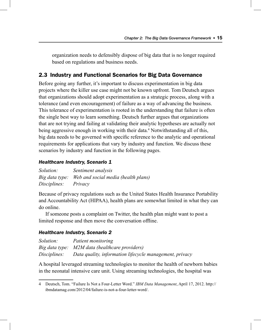organization needs to defensibly dispose of big data that is no longer required based on regulations and business needs.

### **2.3 Industry and Functional Scenarios for Big Data Governance**

Before going any further, it's important to discuss experimentation in big data projects where the killer use case might not be known upfront. Tom Deutsch argues that organizations should adopt experimentation as a strategic process, along with a tolerance (and even encouragement) of failure as a way of advancing the business. This tolerance of experimentation is rooted in the understanding that failure is often the single best way to learn something. Deutsch further argues that organizations that are not trying and failing at validating their analytic hypotheses are actually not being aggressive enough in working with their data.<sup>4</sup> Notwithstanding all of this, big data needs to be governed with specific reference to the analytic and operational requirements for applications that vary by industry and function. We discuss these scenarios by industry and function in the following pages.

### *Healthcare Industry, Scenario 1*

| <i>Solution:</i>     | Sentiment analysis                                 |
|----------------------|----------------------------------------------------|
|                      | Big data type: Web and social media (health plans) |
| Disciplines: Privacy |                                                    |

Because of privacy regulations such as the United States Health Insurance Portability and Accountability Act (HIPAA), health plans are somewhat limited in what they can do online.

If someone posts a complaint on Twitter, the health plan might want to post a limited response and then move the conversation offline.

### *Healthcare Industry, Scenario 2*

| <i>Solution:</i> | Patient monitoring                                      |
|------------------|---------------------------------------------------------|
|                  | Big data type: M2M data (healthcare providers)          |
| Disciplines:     | Data quality, information lifecycle management, privacy |

A hospital leveraged streaming technologies to monitor the health of newborn babies in the neonatal intensive care unit. Using streaming technologies, the hospital was

<sup>4</sup> Deutsch, Tom. "Failure Is Not a Four-Letter Word." *IBM Data Management*, April 17, 2012. http:// ibmdatamag.com/2012/04/failure-is-not-a-four-letter-word/.